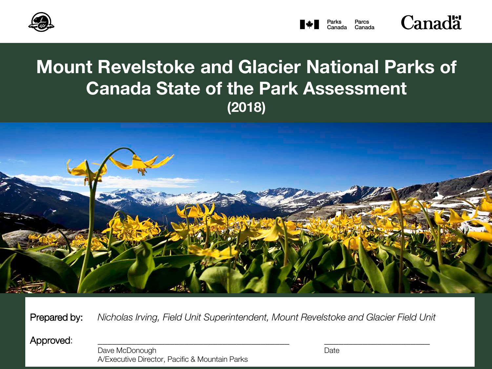



# **Mount Revelstoke and Glacier National Parks of Canada State of the Park Assessment (2018)**



Prepared by: *Nicholas Irving, Field Unit Superintendent, Mount Revelstoke and Glacier Field Unit*

Approved:

Dave McDonough Date by Date Date Date Date Date A/Executive Director, Pacific & Mountain Parks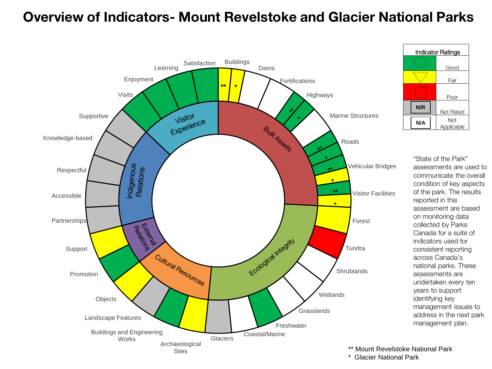# **Overview of Indicators- Mount Revelstoke and Glacier National Parks**



| Indicator Ratings |                   |  |
|-------------------|-------------------|--|
|                   | Good              |  |
|                   | Fair              |  |
|                   | Poor              |  |
| N/R               | Not Rated         |  |
| N/A               | Not<br>Applicable |  |

"State of the Park" assessments are used to communicate the overall condition of key aspects of the park. The results reported in this assessment are based on monitoring data collected by Parks Canada for a suite of indicators used for consistent reporting across Canada's national parks. These assessments are undertaken every ten years to support identifying key management issues to address in the next park management plan.

- \*\* Mount Revelstoke National Park
- \* Glacier National Park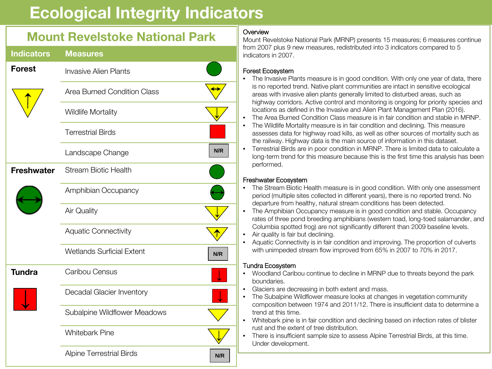# **Ecological Integrity Indicators**

# **Mount Revelstoke National Park**

| <b>Indicators</b> | <b>Measures</b>                         |
|-------------------|-----------------------------------------|
| <b>Forest</b>     | <b>Invasive Alien Plants</b>            |
|                   | <b>Area Burned Condition Class</b>      |
|                   | <b>Wildlife Mortality</b>               |
|                   | <b>Terrestrial Birds</b>                |
|                   | N/R<br>Landscape Change                 |
| <b>Freshwater</b> | <b>Stream Biotic Health</b>             |
|                   | Amphibian Occupancy                     |
|                   | Air Quality                             |
|                   | <b>Aquatic Connectivity</b>             |
|                   | <b>Wetlands Surficial Extent</b><br>N/R |
| <b>Tundra</b>     | Caribou Census                          |
|                   | Decadal Glacier Inventory               |
|                   | Subalpine Wildflower Meadows            |
|                   | <b>Whitebark Pine</b>                   |
|                   | <b>Alpine Terrestrial Birds</b><br>N/R  |

# **Overview**

Mount Revelstoke National Park (MRNP) presents 15 measures; 6 measures continue from 2007 plus 9 new measures, redistributed into 3 indicators compared to 5 indicators in 2007.

### Forest Ecosystem

- The Invasive Plants measure is in good condition. With only one year of data, there is no reported trend. Native plant communities are intact in sensitive ecological areas with invasive alien plants generally limited to disturbed areas, such as highway corridors. Active control and monitoring is ongoing for priority species and locations as defined in the Invasive and Alien Plant Management Plan (2016).
- The Area Burned Condition Class measure is in fair condition and stable in MRNP.
- The Wildlife Mortality measure is in fair condition and declining. This measure assesses data for highway road kills, as well as other sources of mortality such as the railway. Highway data is the main source of information in this dataset.
- Terrestrial Birds are in poor condition in MRNP. There is limited data to calculate a long-term trend for this measure because this is the first time this analysis has been performed.

# Freshwater Ecosystem

- The Stream Biotic Health measure is in good condition. With only one assessment period (multiple sites collected in different years), there is no reported trend. No departure from healthy, natural stream conditions has been detected.
- The Amphibian Occupancy measure is in good condition and stable. Occupancy rates of three pond breeding amphibians (western toad, long-toed salamander, and Columbia spotted frog) are not significantly different than 2009 baseline levels.
- Air quality is fair but declining.
- Aquatic Connectivity is in fair condition and improving. The proportion of culverts with unimpeded stream flow improved from 65% in 2007 to 70% in 2017.

# Tundra Ecosystem

- Woodland Caribou continue to decline in MRNP due to threats beyond the park boundaries.
- Glaciers are decreasing in both extent and mass.
- The Subalpine Wildflower measure looks at changes in vegetation community composition between 1974 and 2011/12. There is insufficient data to determine a trend at this time.
- Whitebark pine is in fair condition and declining based on infection rates of blister rust and the extent of tree distribution.
- There is insufficient sample size to assess Alpine Terrestrial Birds, at this time. Under development.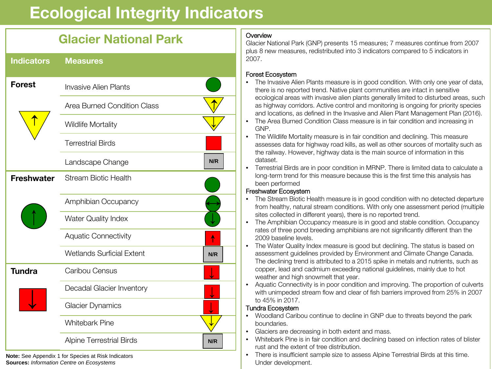# **Ecological Integrity Indicators**

# **Glacier National Park**

| <b>Indicators</b> | <b>Measures</b>                         |
|-------------------|-----------------------------------------|
| <b>Forest</b>     | <b>Invasive Alien Plants</b>            |
|                   | Area Burned Condition Class             |
|                   | Wildlife Mortality                      |
|                   | <b>Terrestrial Birds</b>                |
|                   | N/R<br>Landscape Change                 |
| <b>Freshwater</b> | <b>Stream Biotic Health</b>             |
|                   | Amphibian Occupancy                     |
|                   | <b>Water Quality Index</b>              |
|                   | <b>Aquatic Connectivity</b>             |
|                   | <b>Wetlands Surficial Extent</b><br>N/R |
| <b>Tundra</b>     | Caribou Census                          |
|                   | Decadal Glacier Inventory               |
|                   | <b>Glacier Dynamics</b>                 |
|                   | <b>Whitebark Pine</b>                   |
|                   | <b>Alpine Terrestrial Birds</b><br>N/R  |

**Note:** See Appendix 1 for Species at Risk Indicators **Sources:** *Information Centre on Ecosystems*

# **Overview**

Glacier National Park (GNP) presents 15 measures; 7 measures continue from 2007 plus 8 new measures, redistributed into 3 indicators compared to 5 indicators in 2007.

### Forest Ecosystem

- The Invasive Alien Plants measure is in good condition. With only one year of data, there is no reported trend. Native plant communities are intact in sensitive ecological areas with invasive alien plants generally limited to disturbed areas, such as highway corridors. Active control and monitoring is ongoing for priority species and locations, as defined in the Invasive and Alien Plant Management Plan (2016).
- The Area Burned Condition Class measure is in fair condition and increasing in GNP.
- The Wildlife Mortality measure is in fair condition and declining. This measure assesses data for highway road kills, as well as other sources of mortality such as the railway. However, highway data is the main source of information in this dataset.
- Terrestrial Birds are in poor condition in MRNP. There is limited data to calculate a long-term trend for this measure because this is the first time this analysis has been performed

### Freshwater Ecosystem

- The Stream Biotic Health measure is in good condition with no detected departure from healthy, natural stream conditions. With only one assessment period (multiple sites collected in different years), there is no reported trend.
- The Amphibian Occupancy measure is in good and stable condition. Occupancy rates of three pond breeding amphibians are not significantly different than the 2009 baseline levels.
- The Water Quality Index measure is good but declining. The status is based on assessment guidelines provided by Environment and Climate Change Canada. The declining trend is attributed to a 2015 spike in metals and nutrients, such as copper, lead and cadmium exceeding national guidelines, mainly due to hot weather and high snowmelt that year.
- Aquatic Connectivity is in poor condition and improving. The proportion of culverts with unimpeded stream flow and clear of fish barriers improved from 25% in 2007 to 45% in 2017.

### Tundra Ecosystem

- Woodland Caribou continue to decline in GNP due to threats beyond the park boundaries.
- Glaciers are decreasing in both extent and mass.
- Whitebark Pine is in fair condition and declining based on infection rates of blister rust and the extent of tree distribution.
- There is insufficient sample size to assess Alpine Terrestrial Birds at this time. Under development.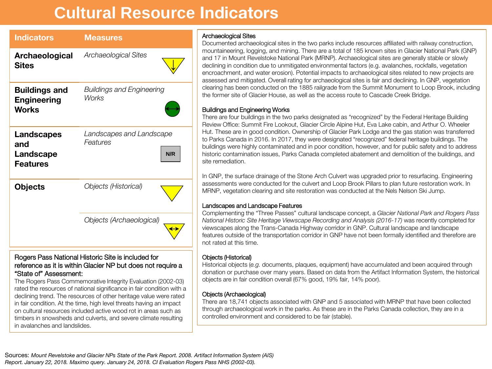# **Cultural Resource Indicators**

| <b>Indicators</b>                                          | <b>Measures</b>                                  |
|------------------------------------------------------------|--------------------------------------------------|
| Archaeological<br><b>Sites</b>                             | Archaeological Sites                             |
| <b>Buildings and</b><br><b>Engineering</b><br><b>Works</b> | <b>Buildings and Engineering</b><br><b>Works</b> |
| Landscapes<br>and<br>Landscape<br><b>Features</b>          | Landscapes and Landscape<br>Features<br>N/R      |
| <b>Objects</b>                                             | <b>Objects (Historical)</b>                      |
|                                                            | Objects (Archaeological)                         |

#### Rogers Pass National Historic Site is included for reference as it is within Glacier NP but does not require a "State of" Assessment:

The Rogers Pass Commemorative Integrity Evaluation (2002-03) rated the resources of national significance in fair condition with a declining trend. The resources of other heritage value were rated in fair condition. At the time, high level threats having an impact on cultural resources included active wood rot in areas such as timbers in snowsheds and culverts, and severe climate resulting in avalanches and landslides.

#### Archaeological Sites

Documented archaeological sites in the two parks include resources affiliated with railway construction, mountaineering, logging, and mining. There are a total of 185 known sites in Glacier National Park (GNP) and 17 in Mount Revelstoke National Park (MRNP). Archaeological sites are generally stable or slowly declining in condition due to unmitigated environmental factors (e.g. avalanches, rockfalls, vegetation encroachment, and water erosion). Potential impacts to archaeological sites related to new projects are assessed and mitigated. Overall rating for archaeological sites is fair and declining. In GNP, vegetation clearing has been conducted on the 1885 railgrade from the Summit Monument to Loop Brook, including the former site of Glacier House, as well as the access route to Cascade Creek Bridge.

#### Buildings and Engineering Works

There are four buildings in the two parks designated as "recognized" by the Federal Heritage Building Review Office: Summit Fire Lookout, Glacier Circle Alpine Hut, Eva Lake cabin, and Arthur O. Wheeler Hut. These are in good condition. Ownership of Glacier Park Lodge and the gas station was transferred to Parks Canada in 2016. In 2017, they were designated "recognized" federal heritage buildings. The buildings were highly contaminated and in poor condition, however, and for public safety and to address historic contamination issues, Parks Canada completed abatement and demolition of the buildings, and site remediation.

In GNP, the surface drainage of the Stone Arch Culvert was upgraded prior to resurfacing. Engineering assessments were conducted for the culvert and Loop Brook Pillars to plan future restoration work. In MRNP, vegetation clearing and site restoration was conducted at the Nels Nelson Ski Jump.

#### Landscapes and Landscape Features

Complementing the "Three Passes" cultural landscape concept, a *Glacier National Park and Rogers Pass National Historic Site Heritage Viewscape Recording and Analysis (2016-17)* was recently completed for viewscapes along the Trans-Canada Highway corridor in GNP. Cultural landscape and landscape features outside of the transportation corridor in GNP have not been formally identified and therefore are not rated at this time.

#### Objects (Historical)

Historical objects (*e.g.* documents, plaques, equipment) have accumulated and been acquired through donation or purchase over many years. Based on data from the Artifact Information System, the historical objects are in fair condition overall (67% good, 19% fair, 14% poor).

#### Objects (Archaeological)

There are 18,741 objects associated with GNP and 5 associated with MRNP that have been collected through archaeological work in the parks. As these are in the Parks Canada collection, they are in a controlled environment and considered to be fair (stable).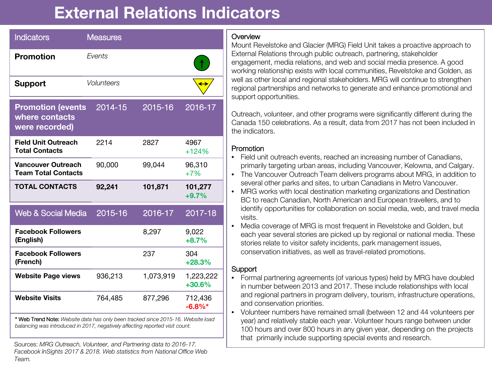# **External Relations Indicators**

| <b>Indicators</b>                                                                                                                                                | <b>Measures</b>   |           |                       |
|------------------------------------------------------------------------------------------------------------------------------------------------------------------|-------------------|-----------|-----------------------|
| <b>Promotion</b>                                                                                                                                                 | Events            |           |                       |
| <b>Support</b>                                                                                                                                                   | <b>Volunteers</b> |           |                       |
| <b>Promotion (events</b><br>where contacts<br>were recorded)                                                                                                     | 2014-15           | 2015-16   | 2016-17               |
| <b>Field Unit Outreach</b><br><b>Total Contacts</b>                                                                                                              | 2214              | 2827      | 4967<br>$+124%$       |
| Vancouver Outreach<br><b>Team Total Contacts</b>                                                                                                                 | 90,000            | 99,044    | 96,310<br>$+7%$       |
| <b>TOTAL CONTACTS</b>                                                                                                                                            | 92,241            | 101,871   | 101,277<br>$+9.7%$    |
| Web & Social Media                                                                                                                                               | 2015-16           | 2016-17   | 2017-18               |
| <b>Facebook Followers</b><br>(English)                                                                                                                           |                   | 8,297     | 9,022<br>$+8.7%$      |
| <b>Facebook Followers</b><br>(French)                                                                                                                            |                   | 237       | 304<br>$+28.3%$       |
| <b>Website Page views</b>                                                                                                                                        | 936,213           | 1,073,919 | 1,223,222<br>$+30.6%$ |
| <b>Website Visits</b>                                                                                                                                            | 764,485           | 877,296   | 712,436<br>$-6.8\%$ * |
| * Web Trend Note: Website data has only been tracked since 2015-16. Website load<br>balancing was introduced in 2017, negatively affecting reported visit count. |                   |           |                       |

Sources: *MRG Outreach, Volunteer, and Partnering data to 2016-17. Facebook InSights 2017 & 2018. Web statistics from National Office Web Team.*

# **Overview**

Mount Revelstoke and Glacier (MRG) Field Unit takes a proactive approach to External Relations through public outreach, partnering, stakeholder engagement, media relations, and web and social media presence. A good working relationship exists with local communities, Revelstoke and Golden, as well as other local and regional stakeholders. MRG will continue to strengthen regional partnerships and networks to generate and enhance promotional and support opportunities.

Outreach, volunteer, and other programs were significantly different during the Canada 150 celebrations. As a result, data from 2017 has not been included in the indicators.

# Promotion

- Field unit outreach events, reached an increasing number of Canadians, primarily targeting urban areas, including Vancouver, Kelowna, and Calgary.
- The Vancouver Outreach Team delivers programs about MRG, in addition to several other parks and sites, to urban Canadians in Metro Vancouver.
- MRG works with local destination marketing organizations and Destination BC to reach Canadian, North American and European travellers, and to identify opportunities for collaboration on social media, web, and travel media visits.
- Media coverage of MRG is most frequent in Revelstoke and Golden, but each year several stories are picked up by regional or national media. These stories relate to visitor safety incidents, park management issues, conservation initiatives, as well as travel-related promotions.

# **Support**

- Formal partnering agreements (of various types) held by MRG have doubled in number between 2013 and 2017. These include relationships with local and regional partners in program delivery, tourism, infrastructure operations, and conservation priorities.
- Volunteer numbers have remained small (between 12 and 44 volunteers per year) and relatively stable each year. Volunteer hours range between under 100 hours and over 800 hours in any given year, depending on the projects that primarily include supporting special events and research.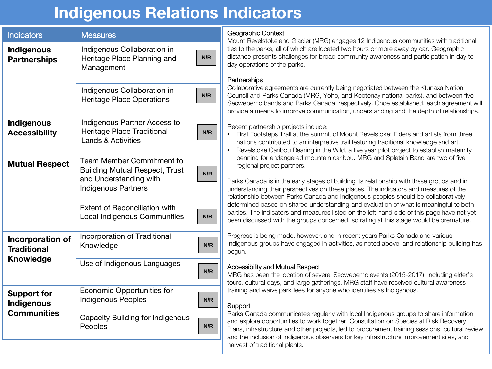# **Indigenous Relations Indicators**

| <b>Indicators</b>                      | <b>Measures</b>                                                                                                            |     |
|----------------------------------------|----------------------------------------------------------------------------------------------------------------------------|-----|
| Indigenous<br><b>Partnerships</b>      | Indigenous Collaboration in<br>N/R<br>Heritage Place Planning and<br>Management                                            |     |
|                                        | Indigenous Collaboration in<br><b>Heritage Place Operations</b>                                                            | N/R |
| Indigenous<br><b>Accessibility</b>     | Indigenous Partner Access to<br>Heritage Place Traditional<br><b>Lands &amp; Activities</b>                                | N/R |
| <b>Mutual Respect</b>                  | Team Member Commitment to<br><b>Building Mutual Respect, Trust</b><br>and Understanding with<br><b>Indigenous Partners</b> | N/R |
|                                        | <b>Extent of Reconciliation with</b><br>Local Indigenous Communities                                                       | N/R |
| Incorporation of<br><b>Traditional</b> | Incorporation of Traditional<br>Knowledge                                                                                  | N/R |
| <b>Knowledge</b>                       | Use of Indigenous Languages                                                                                                | N/R |
| <b>Support for</b><br>Indigenous       | Economic Opportunities for<br><b>Indigenous Peoples</b>                                                                    | N/R |
| <b>Communities</b>                     | <b>Capacity Building for Indigenous</b><br>Peoples                                                                         | N/R |

### Geographic Context

Mount Revelstoke and Glacier (MRG) engages 12 Indigenous communities with traditional ties to the parks, all of which are located two hours or more away by car. Geographic distance presents challenges for broad community awareness and participation in day to day operations of the parks.

#### **Partnerships**

Collaborative agreements are currently being negotiated between the Ktunaxa Nation Council and Parks Canada (MRG, Yoho, and Kootenay national parks), and between five Secwepemc bands and Parks Canada, respectively. Once established, each agreement will provide a means to improve communication, understanding and the depth of relationships.

Recent partnership projects include:

- First Footsteps Trail at the summit of Mount Revelstoke: Elders and artists from three nations contributed to an interpretive trail featuring traditional knowledge and art.
- Revelstoke Caribou Rearing in the Wild, a five year pilot project to establish maternity penning for endangered mountain caribou. MRG and Splatsin Band are two of five regional project partners.

Parks Canada is in the early stages of building its relationship with these groups and in understanding their perspectives on these places. The indicators and measures of the relationship between Parks Canada and Indigenous peoples should be collaboratively determined based on shared understanding and evaluation of what is meaningful to both parties. The indicators and measures listed on the left-hand side of this page have not yet been discussed with the groups concerned, so rating at this stage would be premature.

Progress is being made, however, and in recent years Parks Canada and various Indigenous groups have engaged in activities, as noted above, and relationship building has begun.

#### Accessibility and Mutual Respect

MRG has been the location of several Secwepemc events (2015-2017), including elder's tours, cultural days, and large gatherings. MRG staff have received cultural awareness training and waive park fees for anyone who identifies as Indigenous.

# Support

Parks Canada communicates regularly with local Indigenous groups to share information and explore opportunities to work together. Consultation on Species at Risk Recovery Plans, infrastructure and other projects, led to procurement training sessions, cultural review and the inclusion of Indigenous observers for key infrastructure improvement sites, and harvest of traditional plants.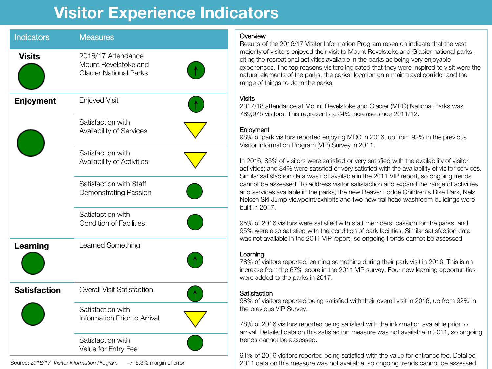# **Visitor Experience Indicators**

| <b>Indicators</b>   | <b>Measures</b>                                                             |
|---------------------|-----------------------------------------------------------------------------|
| <b>Visits</b>       | 2016/17 Attendance<br>Mount Revelstoke and<br><b>Glacier National Parks</b> |
| Enjoyment           | <b>Enjoyed Visit</b>                                                        |
|                     | Satisfaction with<br>Availability of Services                               |
|                     | Satisfaction with<br>Availability of Activities                             |
|                     | Satisfaction with Staff<br>Demonstrating Passion                            |
|                     | Satisfaction with<br><b>Condition of Facilities</b>                         |
| Learning            | Learned Something                                                           |
| <b>Satisfaction</b> | <b>Overall Visit Satisfaction</b>                                           |
|                     | Satisfaction with<br>Information Prior to Arrival                           |
|                     | Satisfaction with<br>Value for Entry Fee                                    |

Source: *2016/17 Visitor Information Program* +/- 5.3% margin of error

### **Overview**

Results of the 2016/17 Visitor Information Program research indicate that the vast majority of visitors enjoyed their visit to Mount Revelstoke and Glacier national parks, citing the recreational activities available in the parks as being very enjoyable experiences. The top reasons visitors indicated that they were inspired to visit were the natural elements of the parks, the parks' location on a main travel corridor and the range of things to do in the parks.

### Visits

2017/18 attendance at Mount Revelstoke and Glacier (MRG) National Parks was 789,975 visitors. This represents a 24% increase since 2011/12.

#### **Enjoyment**

98% of park visitors reported enjoying MRG in 2016, up from 92% in the previous Visitor Information Program (VIP) Survey in 2011.

In 2016, 85% of visitors were satisfied or very satisfied with the availability of visitor activities; and 84% were satisfied or very satisfied with the availability of visitor services. Similar satisfaction data was not available in the 2011 VIP report, so ongoing trends cannot be assessed. To address visitor satisfaction and expand the range of activities and services available in the parks, the new Beaver Lodge Children's Bike Park, Nels Nelsen Ski Jump viewpoint/exhibits and two new trailhead washroom buildings were built in 2017.

95% of 2016 visitors were satisfied with staff members' passion for the parks, and 95% were also satisfied with the condition of park facilities. Similar satisfaction data was not available in the 2011 VIP report, so ongoing trends cannot be assessed

#### Learning

78% of visitors reported learning something during their park visit in 2016. This is an increase from the 67% score in the 2011 VIP survey. Four new learning opportunities were added to the parks in 2017.

#### **Satisfaction**

98% of visitors reported being satisfied with their overall visit in 2016, up from 92% in the previous VIP Survey.

78% of 2016 visitors reported being satisfied with the information available prior to arrival. Detailed data on this satisfaction measure was not available in 2011, so ongoing trends cannot be assessed.

91% of 2016 visitors reported being satisfied with the value for entrance fee. Detailed 2011 data on this measure was not available, so ongoing trends cannot be assessed.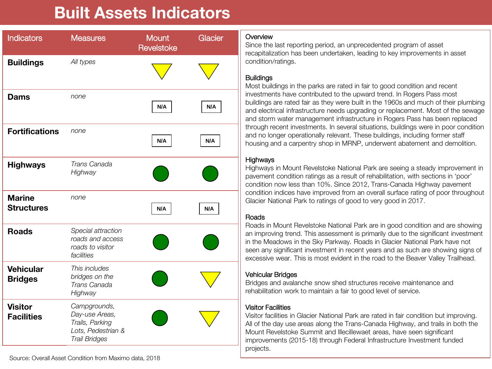# **Built Assets Indicators**

| <b>Indicators</b>                   | <b>Measures</b>                                                                                 | Mount<br>Revelstoke | Glacier |
|-------------------------------------|-------------------------------------------------------------------------------------------------|---------------------|---------|
| <b>Buildings</b>                    | All types                                                                                       |                     |         |
| <b>Dams</b>                         | none                                                                                            | N/A                 | N/A     |
| <b>Fortifications</b>               | none                                                                                            | N/A                 | N/A     |
| <b>Highways</b>                     | Trans Canada<br>Highway                                                                         |                     |         |
| <b>Marine</b><br><b>Structures</b>  | none                                                                                            | N/A                 | N/A     |
| <b>Roads</b>                        | Special attraction<br>roads and access<br>roads to visitor<br>facilities                        |                     |         |
| <b>Vehicular</b><br><b>Bridges</b>  | This includes<br>bridges on the<br>Trans Canada<br>Highway                                      |                     |         |
| <b>Visitor</b><br><b>Facilities</b> | Campgrounds,<br>Day-use Areas,<br>Trails, Parking<br>Lots, Pedestrian &<br><b>Trail Bridges</b> |                     |         |

#### **Overview**

Since the last reporting period, an unprecedented program of asset recapitalization has been undertaken, leading to key improvements in asset condition/ratings.

### **Buildings**

Most buildings in the parks are rated in fair to good condition and recent investments have contributed to the upward trend. In Rogers Pass most buildings are rated fair as they were built in the 1960s and much of their plumbing and electrical infrastructure needs upgrading or replacement. Most of the sewage and storm water management infrastructure in Rogers Pass has been replaced through recent investments. In several situations, buildings were in poor condition and no longer operationally relevant. These buildings, including former staff housing and a carpentry shop in MRNP, underwent abatement and demolition.

#### **Highways**

Highways in Mount Revelstoke National Park are seeing a steady improvement in pavement condition ratings as a result of rehabilitation, with sections in 'poor' condition now less than 10%. Since 2012, Trans-Canada Highway pavement condition indices have improved from an overall surface rating of poor throughout Glacier National Park to ratings of good to very good in 2017.

### Roads

Roads in Mount Revelstoke National Park are in good condition and are showing an improving trend. This assessment is primarily due to the significant investment in the Meadows in the Sky Parkway. Roads in Glacier National Park have not seen any significant investment in recent years and as such are showing signs of excessive wear. This is most evident in the road to the Beaver Valley Trailhead.

#### Vehicular Bridges

Bridges and avalanche snow shed structures receive maintenance and rehabilitation work to maintain a fair to good level of service.

#### Visitor Facilities

Visitor facilities in Glacier National Park are rated in fair condition but improving. All of the day use areas along the Trans-Canada Highway, and trails in both the Mount Revelstoke Summit and Illecillewaet areas, have seen significant improvements (2015-18) through Federal Infrastructure Investment funded projects.

Source: Overall Asset Condition from Maximo data, 2018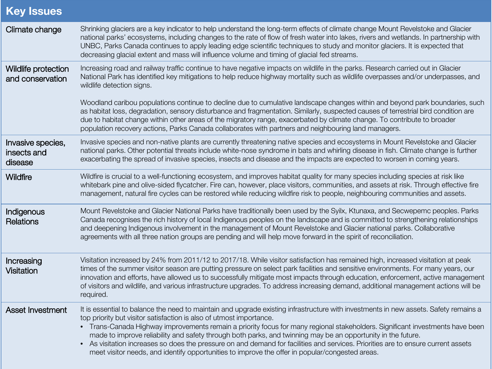# **Key Issues**

| Climate change                              | Shrinking glaciers are a key indicator to help understand the long-term effects of climate change Mount Revelstoke and Glacier<br>national parks' ecosystems, including changes to the rate of flow of fresh water into lakes, rivers and wetlands. In partnership with<br>UNBC, Parks Canada continues to apply leading edge scientific techniques to study and monitor glaciers. It is expected that<br>decreasing glacial extent and mass will influence volume and timing of glacial fed streams.                                                                                                                                                                                                |
|---------------------------------------------|------------------------------------------------------------------------------------------------------------------------------------------------------------------------------------------------------------------------------------------------------------------------------------------------------------------------------------------------------------------------------------------------------------------------------------------------------------------------------------------------------------------------------------------------------------------------------------------------------------------------------------------------------------------------------------------------------|
| Wildlife protection<br>and conservation     | Increasing road and railway traffic continue to have negative impacts on wildlife in the parks. Research carried out in Glacier<br>National Park has identified key mitigations to help reduce highway mortality such as wildlife overpasses and/or underpasses, and<br>wildlife detection signs.                                                                                                                                                                                                                                                                                                                                                                                                    |
|                                             | Woodland caribou populations continue to decline due to cumulative landscape changes within and beyond park boundaries, such<br>as habitat loss, degradation, sensory disturbance and fragmentation. Similarly, suspected causes of terrestrial bird condition are<br>due to habitat change within other areas of the migratory range, exacerbated by climate change. To contribute to broader<br>population recovery actions, Parks Canada collaborates with partners and neighbouring land managers.                                                                                                                                                                                               |
| Invasive species,<br>insects and<br>disease | Invasive species and non-native plants are currently threatening native species and ecosystems in Mount Revelstoke and Glacier<br>national parks. Other potential threats include white-nose syndrome in bats and whirling disease in fish. Climate change is further<br>exacerbating the spread of invasive species, insects and disease and the impacts are expected to worsen in coming years.                                                                                                                                                                                                                                                                                                    |
| Wildfire                                    | Wildfire is crucial to a well-functioning ecosystem, and improves habitat quality for many species including species at risk like<br>whitebark pine and olive-sided flycatcher. Fire can, however, place visitors, communities, and assets at risk. Through effective fire<br>management, natural fire cycles can be restored while reducing wildfire risk to people, neighbouring communities and assets.                                                                                                                                                                                                                                                                                           |
| Indigenous<br>Relations                     | Mount Revelstoke and Glacier National Parks have traditionally been used by the Syilx, Ktunaxa, and Secwepemc peoples. Parks<br>Canada recognises the rich history of local Indigenous peoples on the landscape and is committed to strengthening relationships<br>and deepening Indigenous involvement in the management of Mount Revelstoke and Glacier national parks. Collaborative<br>agreements with all three nation groups are pending and will help move forward in the spirit of reconciliation.                                                                                                                                                                                           |
| Increasing<br><b>Visitation</b>             | Visitation increased by 24% from 2011/12 to 2017/18. While visitor satisfaction has remained high, increased visitation at peak<br>times of the summer visitor season are putting pressure on select park facilities and sensitive environments. For many years, our<br>innovation and efforts, have allowed us to successfully mitigate most impacts through education, enforcement, active management<br>of visitors and wildlife, and various infrastructure upgrades. To address increasing demand, additional management actions will be<br>required.                                                                                                                                           |
| <b>Asset Investment</b>                     | It is essential to balance the need to maintain and upgrade existing infrastructure with investments in new assets. Safety remains a<br>top priority but visitor satisfaction is also of utmost importance.<br>• Trans-Canada Highway improvements remain a priority focus for many regional stakeholders. Significant investments have been<br>made to improve reliability and safety through both parks, and twinning may be an opportunity in the future.<br>• As visitation increases so does the pressure on and demand for facilities and services. Priorities are to ensure current assets<br>meet visitor needs, and identify opportunities to improve the offer in popular/congested areas. |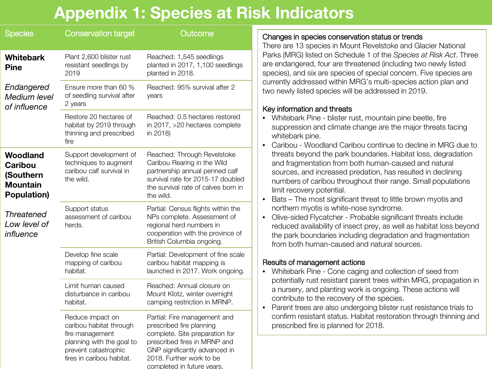# **Appendix 1: Species at Risk Indicators**

| <b>Species</b>                                                            | <b>Conservation target</b>                                                                                                                       | Outcome                                                                                                                                                                                                              |
|---------------------------------------------------------------------------|--------------------------------------------------------------------------------------------------------------------------------------------------|----------------------------------------------------------------------------------------------------------------------------------------------------------------------------------------------------------------------|
| <b>Whitebark</b><br><b>Pine</b>                                           | Plant 2,600 blister rust<br>resistant seedlings by<br>2019                                                                                       | Reached: 1,545 seedlings<br>planted in 2017, 1,100 seedlings<br>planted in 2018.                                                                                                                                     |
| Endangered<br>Medium level<br>of influence                                | Ensure more than 60 %<br>of seedling survival after<br>2 years                                                                                   | Reached: 95% survival after 2<br>years                                                                                                                                                                               |
|                                                                           | Restore 20 hectares of<br>habitat by 2019 through<br>thinning and prescribed<br>fire                                                             | Reached: 0.5 hectares restored<br>in 2017, >20 hectares complete<br>in 2018)                                                                                                                                         |
| Woodland<br><b>Caribou</b><br>(Southern<br><b>Mountain</b><br>Population) | Support development of<br>techniques to augment<br>caribou calf survival in<br>the wild.                                                         | Reached: Through Revelstoke<br>Caribou Rearing in the Wild<br>partnership annual penned calf<br>survival rate for 2015-17 doubled<br>the survival rate of calves born in<br>the wild.                                |
| <b>Threatened</b><br>Low level of<br>influence                            | Support status<br>assessment of caribou<br>herds.                                                                                                | Partial: Census flights within the<br>NPs complete. Assessment of<br>regional herd numbers in<br>cooperation with the province of<br>British Columbia ongoing.                                                       |
|                                                                           | Develop fine scale<br>mapping of caribou<br>habitat.                                                                                             | Partial: Development of fine scale<br>caribou habitat mapping is<br>launched in 2017. Work ongoing.                                                                                                                  |
|                                                                           | Limit human caused<br>disturbance in caribou<br>habitat.                                                                                         | Reached: Annual closure on<br>Mount Klotz, winter overnight<br>camping restriction in MRNP.                                                                                                                          |
|                                                                           | Reduce impact on<br>caribou habitat through<br>fire management<br>planning with the goal to<br>prevent catastrophic<br>fires in caribou habitat. | Partial: Fire management and<br>prescribed fire planning<br>complete. Site preparation for<br>prescribed fires in MRNP and<br>GNP significantly advanced in<br>2018. Further work to be<br>completed in future vears |

# Changes in species conservation status or trends

There are 13 species in Mount Revelstoke and Glacier National Parks (MRG) listed on Schedule 1 of the *Species at Risk Act*. Three are endangered, four are threatened (including two newly listed species), and six are species of special concern. Five species are currently addressed within MRG's multi-species action plan and two newly listed species will be addressed in 2019.

# Key information and threats

- Whitebark Pine blister rust, mountain pine beetle, fire suppression and climate change are the major threats facing whitebark pine.
- Caribou Woodland Caribou continue to decline in MRG due to threats beyond the park boundaries. Habitat loss, degradation and fragmentation from both human-caused and natural sources, and increased predation, has resulted in declining numbers of caribou throughout their range. Small populations limit recovery potential.
- Bats The most significant threat to little brown myotis and northern myotis is white-nose syndrome.
- Olive-sided Flycatcher Probable significant threats include reduced availability of insect prey, as well as habitat loss beyond the park boundaries including degradation and fragmentation from both human-caused and natural sources.

# Results of management actions

- Whitebark Pine Cone caging and collection of seed from potentially rust resistant parent trees within MRG, propagation in a nursery, and planting work is ongoing. These actions will contribute to the recovery of the species.
- Parent trees are also undergoing blister rust resistance trials to confirm resistant status. Habitat restoration through thinning and prescribed fire is planned for 2018.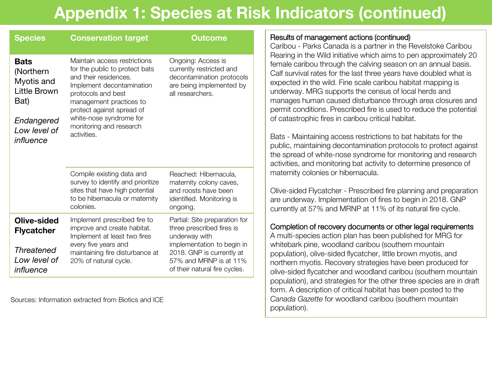# **Appendix 1: Species at Risk Indicators (continued)**

| <b>Species</b>                                                                                                   | <b>Conservation target</b>                                                                                                                                                                                                                                              | Outcome                                                                                                                     |  |
|------------------------------------------------------------------------------------------------------------------|-------------------------------------------------------------------------------------------------------------------------------------------------------------------------------------------------------------------------------------------------------------------------|-----------------------------------------------------------------------------------------------------------------------------|--|
| <b>Bats</b><br>(Northern<br>Myotis and<br><b>Little Brown</b><br>Bat)<br>Endangered<br>Low level of<br>influence | Maintain access restrictions<br>for the public to protect bats<br>and their residences.<br>Implement decontamination<br>protocols and best<br>management practices to<br>protect against spread of<br>white-nose syndrome for<br>monitoring and research<br>activities. | Ongoing: Access is<br>currently restricted and<br>decontamination protocols<br>are being implemented by<br>all researchers. |  |
|                                                                                                                  | Compile existing data and<br>survey to identify and prioritize<br>sites that have high potential<br>to be hibernacula or maternity<br>colonies.                                                                                                                         | Reached: Hibernacula,<br>maternity colony caves,<br>and roosts have been<br>identified. Monitoring is<br>ongoing.           |  |
| Olive-sided<br><b>Flycatcher</b>                                                                                 | Implement prescribed fire to<br>improve and create habitat.<br>Implement at least two fires                                                                                                                                                                             | Partial: Site preparation for<br>three prescribed fires is<br>underway with                                                 |  |
| <b>Threatened</b><br>Low level of<br>influence                                                                   | every five years and<br>maintaining fire disturbance at<br>20% of natural cycle.                                                                                                                                                                                        | implementation to begin in<br>2018. GNP is currently at<br>57% and MRNP is at 11%<br>of their natural fire cycles.          |  |

Sources: Information extracted from Biotics and ICE

# Results of management actions (continued)

Caribou - Parks Canada is a partner in the Revelstoke Caribou Rearing in the Wild initiative which aims to pen approximately 20 female caribou through the calving season on an annual basis. Calf survival rates for the last three years have doubled what is expected in the wild. Fine scale caribou habitat mapping is underway. MRG supports the census of local herds and manages human caused disturbance through area closures and permit conditions. Prescribed fire is used to reduce the potential of catastrophic fires in caribou critical habitat.

Bats - Maintaining access restrictions to bat habitats for the public, maintaining decontamination protocols to protect against the spread of white-nose syndrome for monitoring and research activities, and monitoring bat activity to determine presence of maternity colonies or hibernacula.

Olive-sided Flycatcher - Prescribed fire planning and preparation are underway. Implementation of fires to begin in 2018. GNP currently at 57% and MRNP at 11% of its natural fire cycle.

# Completion of recovery documents or other legal requirements

A multi-species action plan has been published for MRG for whitebark pine, woodland caribou (southern mountain population), olive-sided flycatcher, little brown myotis, and northern myotis. Recovery strategies have been produced for olive-sided flycatcher and woodland caribou (southern mountain population), and strategies for the other three species are in draft form. A description of critical habitat has been posted to the *Canada Gazette* for woodland caribou (southern mountain population).